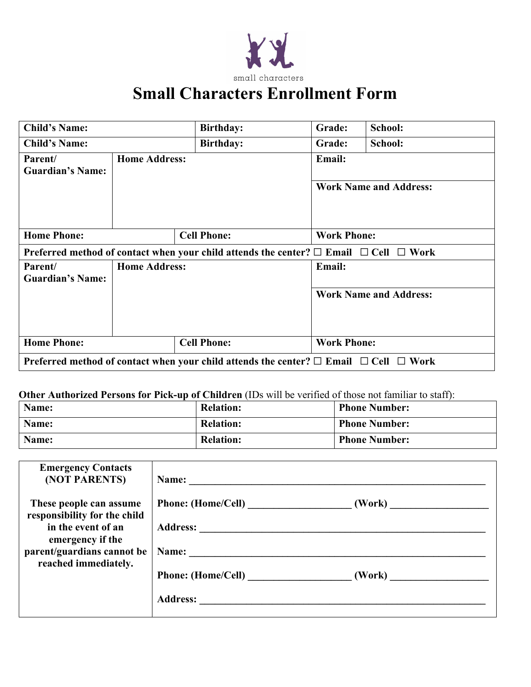

## **Small Characters Enrollment Form**

| <b>Child's Name:</b>               |                      | <b>Birthday:</b>                                                                                     | Grade:             | School:                       |  |  |
|------------------------------------|----------------------|------------------------------------------------------------------------------------------------------|--------------------|-------------------------------|--|--|
| <b>Child's Name:</b>               |                      | <b>Birthday:</b>                                                                                     | Grade:             | School:                       |  |  |
| Parent/<br><b>Guardian's Name:</b> | <b>Home Address:</b> |                                                                                                      | <b>Email:</b>      |                               |  |  |
|                                    |                      |                                                                                                      |                    | <b>Work Name and Address:</b> |  |  |
| <b>Home Phone:</b>                 |                      | <b>Cell Phone:</b><br><b>Work Phone:</b>                                                             |                    |                               |  |  |
|                                    |                      | Preferred method of contact when your child attends the center? $\Box$ Email $\Box$ Cell $\Box$ Work |                    |                               |  |  |
|                                    |                      |                                                                                                      |                    |                               |  |  |
| Parent/<br><b>Guardian's Name:</b> | <b>Home Address:</b> |                                                                                                      | <b>Email:</b>      |                               |  |  |
|                                    |                      |                                                                                                      |                    | <b>Work Name and Address:</b> |  |  |
| <b>Home Phone:</b>                 |                      | <b>Cell Phone:</b>                                                                                   | <b>Work Phone:</b> |                               |  |  |

### **Other Authorized Persons for Pick-up of Children** (IDs will be verified of those not familiar to staff):

| Name: | <b>Relation:</b> | <b>Phone Number:</b> |
|-------|------------------|----------------------|
| Name: | <b>Relation:</b> | <b>Phone Number:</b> |
| Name: | <b>Relation:</b> | <b>Phone Number:</b> |

| <b>Emergency Contacts</b><br>(NOT PARENTS)              | Name: $\qquad \qquad \qquad$ |                          |
|---------------------------------------------------------|------------------------------|--------------------------|
| These people can assume<br>responsibility for the child | Phone: (Home/Cell)           |                          |
| in the event of an                                      |                              |                          |
| emergency if the                                        |                              |                          |
| parent/guardians cannot be                              | Name:                        |                          |
| reached immediately.                                    |                              |                          |
|                                                         | <b>Phone:</b> (Home/Cell)    | (Work) _________________ |
|                                                         | <b>Address:</b>              |                          |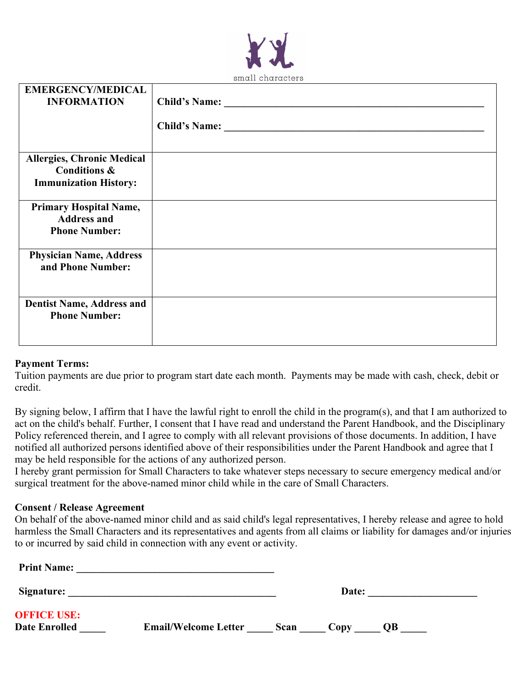

| <b>EMERGENCY/MEDICAL</b><br><b>INFORMATION</b>                                               |  |
|----------------------------------------------------------------------------------------------|--|
| <b>Allergies, Chronic Medical</b><br><b>Conditions &amp;</b><br><b>Immunization History:</b> |  |
| <b>Primary Hospital Name,</b><br><b>Address and</b><br><b>Phone Number:</b>                  |  |
| <b>Physician Name, Address</b><br>and Phone Number:                                          |  |
| <b>Dentist Name, Address and</b><br><b>Phone Number:</b>                                     |  |

#### **Payment Terms:**

Tuition payments are due prior to program start date each month. Payments may be made with cash, check, debit or credit.

By signing below, I affirm that I have the lawful right to enroll the child in the program(s), and that I am authorized to act on the child's behalf. Further, I consent that I have read and understand the Parent Handbook, and the Disciplinary Policy referenced therein, and I agree to comply with all relevant provisions of those documents. In addition, I have notified all authorized persons identified above of their responsibilities under the Parent Handbook and agree that I may be held responsible for the actions of any authorized person.

I hereby grant permission for Small Characters to take whatever steps necessary to secure emergency medical and/or surgical treatment for the above-named minor child while in the care of Small Characters.

#### **Consent / Release Agreement**

On behalf of the above-named minor child and as said child's legal representatives, I hereby release and agree to hold harmless the Small Characters and its representatives and agents from all claims or liability for damages and/or injuries to or incurred by said child in connection with any event or activity.

| <b>Print Name:</b>                         |                             |      |       |           |  |
|--------------------------------------------|-----------------------------|------|-------|-----------|--|
| Signature:                                 |                             |      | Date: |           |  |
| <b>OFFICE USE:</b><br><b>Date Enrolled</b> | <b>Email/Welcome Letter</b> | Scan | Copy  | <b>OB</b> |  |